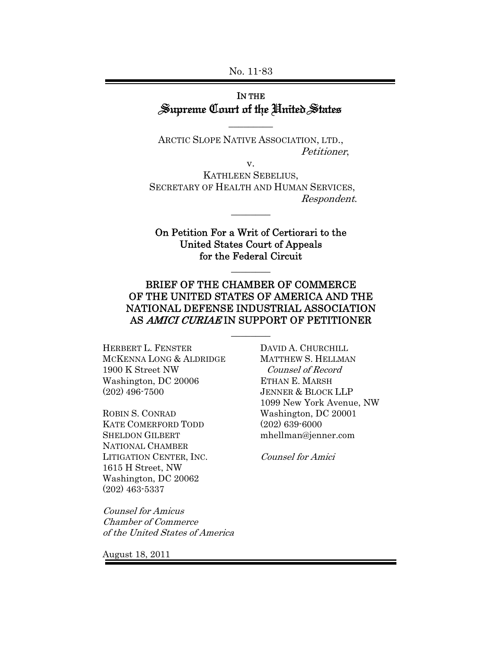No. 11-83

### IN THE Supreme Court of the United States

ARCTIC SLOPE NATIVE ASSOCIATION, LTD., Petitioner,

 $\overline{\phantom{a}}$  . The set of  $\overline{\phantom{a}}$ 

v.

KATHLEEN SEBELIUS, SECRETARY OF HEALTH AND HUMAN SERVICES, Respondent.

 $\overline{\phantom{a}}$ 

On Petition For a Writ of Certiorari to the United States Court of Appeals for the Federal Circuit

 $\overline{\phantom{a}}$ 

### BRIEF OF THE CHAMBER OF COMMERCE OF THE UNITED STATES OF AMERICA AND THE NATIONAL DEFENSE INDUSTRIAL ASSOCIATION AS AMICI CURIAE IN SUPPORT OF PETITIONER

 $\overline{\phantom{a}}$ 

HERBERT L. FENSTER MCKENNA LONG & ALDRIDGE 1900 K Street NW Washington, DC 20006 (202) 496-7500

ROBIN S. CONRAD KATE COMERFORD TODD SHELDON GILBERT NATIONAL CHAMBER LITIGATION CENTER, INC. 1615 H Street, NW Washington, DC 20062 (202) 463-5337

Counsel for Amicus Chamber of Commerce of the United States of America DAVID A. CHURCHILL MATTHEW S. HELLMAN Counsel of Record ETHAN E. MARSH JENNER & BLOCK LLP 1099 New York Avenue, NW Washington, DC 20001 (202) 639-6000 mhellman@jenner.com

Counsel for Amici

August 18, 2011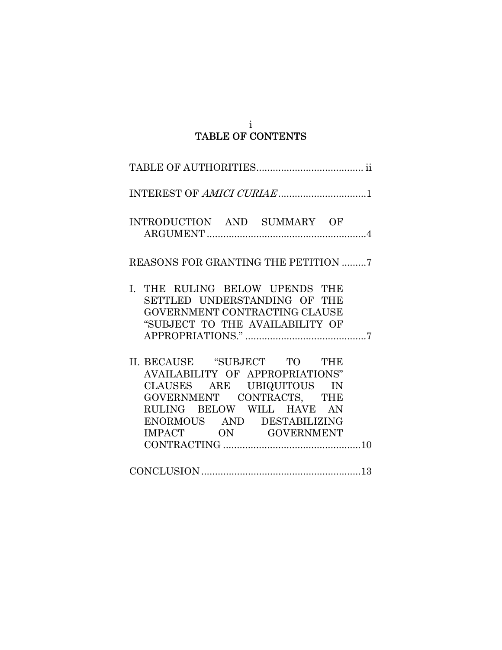### i TABLE OF CONTENTS

| INTEREST OF AMICI CURIAE1                                                                                                                                                                                   |
|-------------------------------------------------------------------------------------------------------------------------------------------------------------------------------------------------------------|
| INTRODUCTION AND SUMMARY OF                                                                                                                                                                                 |
| REASONS FOR GRANTING THE PETITION 7                                                                                                                                                                         |
| I. THE RULING BELOW UPENDS THE<br>SETTLED UNDERSTANDING OF THE<br>GOVERNMENT CONTRACTING CLAUSE<br>"SUBJECT TO THE AVAILABILITY OF                                                                          |
| II. BECAUSE "SUBJECT TO THE<br>AVAILABILITY OF APPROPRIATIONS"<br>CLAUSES ARE UBIQUITOUS IN<br>GOVERNMENT CONTRACTS, THE<br>RULING BELOW WILL HAVE AN<br>ENORMOUS AND DESTABILIZING<br>IMPACT ON GOVERNMENT |
|                                                                                                                                                                                                             |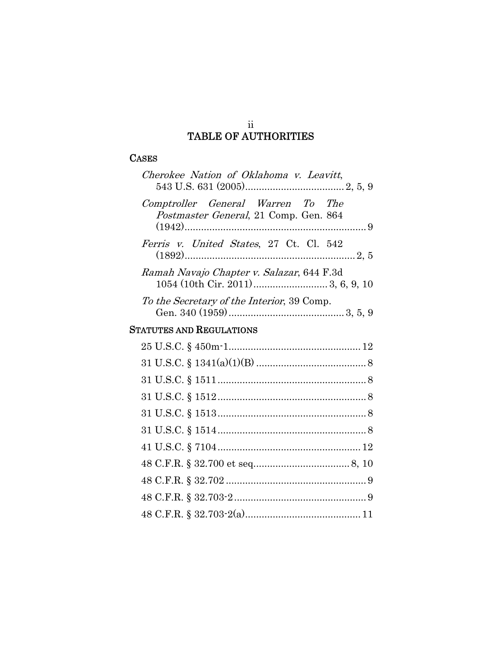### ii TABLE OF AUTHORITIES

### **CASES**

| Cherokee Nation of Oklahoma v. Leavitt,                                    |
|----------------------------------------------------------------------------|
| Comptroller General Warren To The<br>Postmaster General, 21 Comp. Gen. 864 |
| <i>Ferris v. United States, 27 Ct. Cl. 542</i>                             |
| Ramah Navajo Chapter v. Salazar, 644 F.3d                                  |
| To the Secretary of the Interior, 39 Comp.                                 |
| <b>STATUTES AND REGULATIONS</b>                                            |
|                                                                            |
|                                                                            |
|                                                                            |
|                                                                            |
|                                                                            |
|                                                                            |
|                                                                            |
|                                                                            |
|                                                                            |
|                                                                            |
|                                                                            |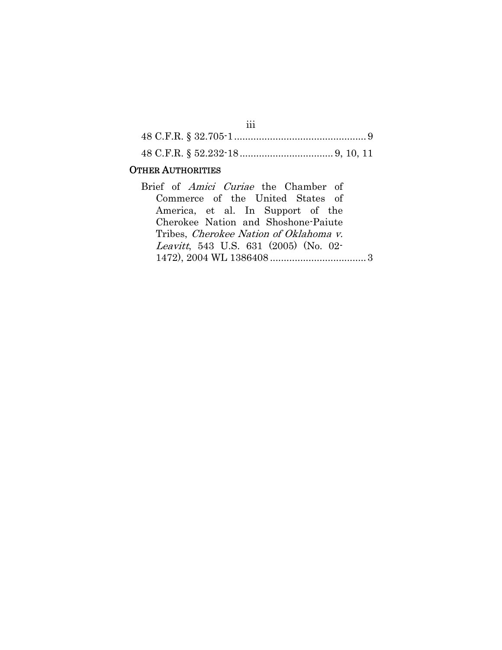| ۰.<br>× | ×<br>۰. | ×<br>۰. |  |
|---------|---------|---------|--|
| ×       | ×       | ×       |  |
|         |         |         |  |

#### OTHER AUTHORITIES

Brief of Amici Curiae the Chamber of Commerce of the United States of America, et al. In Support of the Cherokee Nation and Shoshone-Paiute Tribes, Cherokee Nation of Oklahoma v. Leavitt, 543 U.S. 631 (2005) (No. 02- 1472), 2004 WL 1386408 ................................... 3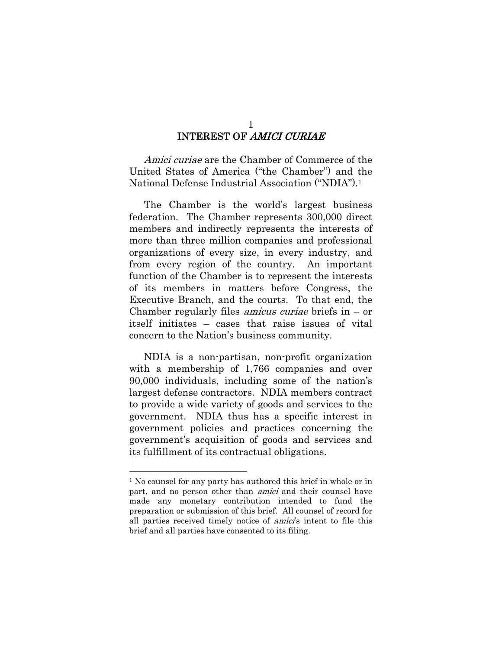# INTEREST OF AMICI CURIAE

Amici curiae are the Chamber of Commerce of the United States of America ("the Chamber") and the National Defense Industrial Association ("NDIA").1

The Chamber is the world's largest business federation. The Chamber represents 300,000 direct members and indirectly represents the interests of more than three million companies and professional organizations of every size, in every industry, and from every region of the country. An important function of the Chamber is to represent the interests of its members in matters before Congress, the Executive Branch, and the courts. To that end, the Chamber regularly files *amicus curiae* briefs in  $-$  or itself initiates – cases that raise issues of vital concern to the Nation's business community.

NDIA is a non-partisan, non-profit organization with a membership of 1,766 companies and over 90,000 individuals, including some of the nation's largest defense contractors. NDIA members contract to provide a wide variety of goods and services to the government. NDIA thus has a specific interest in government policies and practices concerning the government's acquisition of goods and services and its fulfillment of its contractual obligations.

<sup>1</sup> No counsel for any party has authored this brief in whole or in part, and no person other than *amici* and their counsel have made any monetary contribution intended to fund the preparation or submission of this brief. All counsel of record for all parties received timely notice of amici's intent to file this brief and all parties have consented to its filing.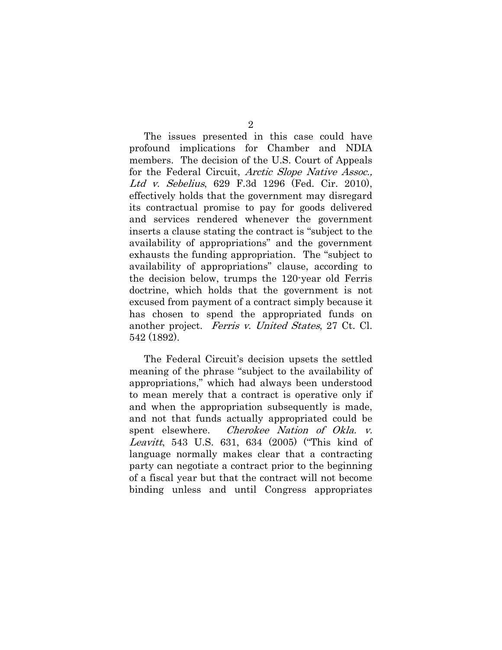The issues presented in this case could have profound implications for Chamber and NDIA members. The decision of the U.S. Court of Appeals for the Federal Circuit, *Arctic Slope Native Assoc.*, Ltd v. Sebelius, 629 F.3d 1296 (Fed. Cir. 2010), effectively holds that the government may disregard its contractual promise to pay for goods delivered and services rendered whenever the government inserts a clause stating the contract is "subject to the availability of appropriations" and the government exhausts the funding appropriation. The "subject to availability of appropriations" clause, according to the decision below, trumps the 120-year old Ferris doctrine, which holds that the government is not excused from payment of a contract simply because it has chosen to spend the appropriated funds on another project. Ferris v. United States, 27 Ct. Cl. 542 (1892).

The Federal Circuit's decision upsets the settled meaning of the phrase "subject to the availability of appropriations," which had always been understood to mean merely that a contract is operative only if and when the appropriation subsequently is made, and not that funds actually appropriated could be spent elsewhere. *Cherokee Nation of Okla. v.* Leavitt, 543 U.S. 631, 634 (2005) ("This kind of language normally makes clear that a contracting party can negotiate a contract prior to the beginning of a fiscal year but that the contract will not become binding unless and until Congress appropriates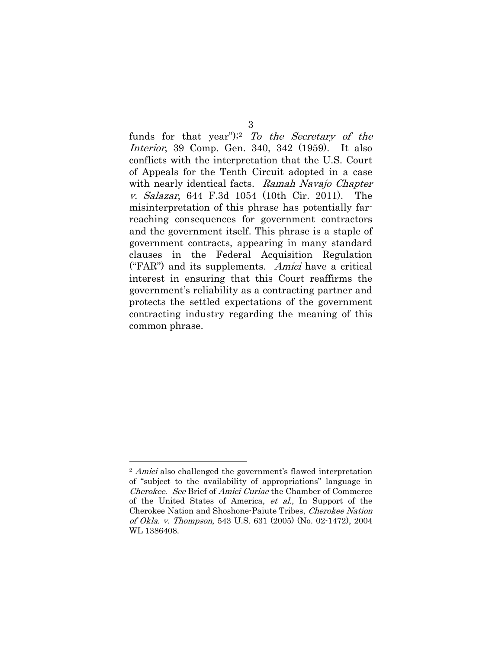funds for that year"); To the Secretary of the Interior, 39 Comp. Gen. 340, 342 (1959). It also conflicts with the interpretation that the U.S. Court of Appeals for the Tenth Circuit adopted in a case with nearly identical facts. Ramah Navajo Chapter v. Salazar, 644 F.3d 1054 (10th Cir. 2011). The misinterpretation of this phrase has potentially farreaching consequences for government contractors and the government itself. This phrase is a staple of government contracts, appearing in many standard clauses in the Federal Acquisition Regulation ("FAR") and its supplements. Amici have a critical interest in ensuring that this Court reaffirms the government's reliability as a contracting partner and protects the settled expectations of the government contracting industry regarding the meaning of this common phrase.

<sup>2</sup> Amici also challenged the government's flawed interpretation of "subject to the availability of appropriations" language in Cherokee. See Brief of Amici Curiae the Chamber of Commerce of the United States of America, et al., In Support of the Cherokee Nation and Shoshone-Paiute Tribes, Cherokee Nation of Okla. v. Thompson, 543 U.S. 631 (2005) (No. 02-1472), 2004 WL 1386408.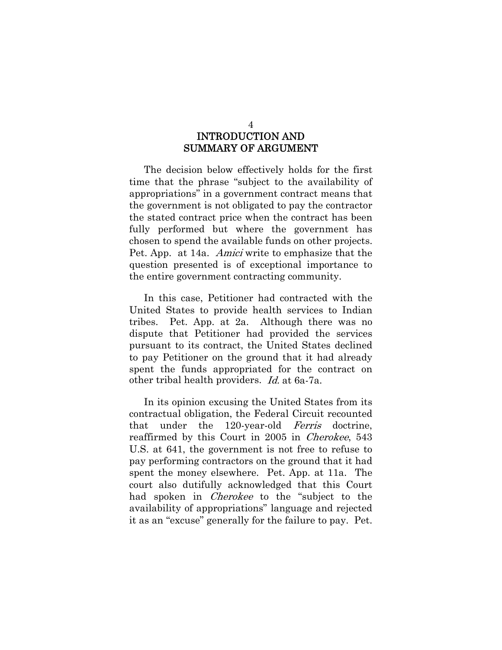## INTRODUCTION AND SUMMARY OF ARGUMENT

The decision below effectively holds for the first time that the phrase "subject to the availability of appropriations" in a government contract means that the government is not obligated to pay the contractor the stated contract price when the contract has been fully performed but where the government has chosen to spend the available funds on other projects. Pet. App. at 14a. Amici write to emphasize that the question presented is of exceptional importance to the entire government contracting community.

In this case, Petitioner had contracted with the United States to provide health services to Indian tribes. Pet. App. at 2a. Although there was no dispute that Petitioner had provided the services pursuant to its contract, the United States declined to pay Petitioner on the ground that it had already spent the funds appropriated for the contract on other tribal health providers. Id. at 6a-7a.

In its opinion excusing the United States from its contractual obligation, the Federal Circuit recounted that under the 120-year-old Ferris doctrine, reaffirmed by this Court in 2005 in Cherokee, 543 U.S. at 641, the government is not free to refuse to pay performing contractors on the ground that it had spent the money elsewhere. Pet. App. at 11a. The court also dutifully acknowledged that this Court had spoken in *Cherokee* to the "subject to the availability of appropriations" language and rejected it as an "excuse" generally for the failure to pay. Pet.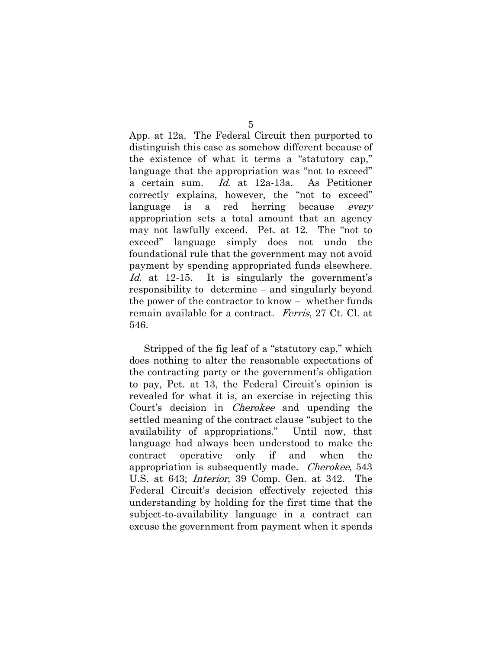App. at 12a. The Federal Circuit then purported to distinguish this case as somehow different because of the existence of what it terms a "statutory cap," language that the appropriation was "not to exceed" a certain sum. Id. at 12a-13a. As Petitioner correctly explains, however, the "not to exceed" language is a red herring because *every* appropriation sets a total amount that an agency may not lawfully exceed. Pet. at 12. The "not to exceed" language simply does not undo the foundational rule that the government may not avoid payment by spending appropriated funds elsewhere. Id. at 12-15. It is singularly the government's responsibility to determine – and singularly beyond the power of the contractor to know – whether funds remain available for a contract. Ferris, 27 Ct. Cl. at 546.

Stripped of the fig leaf of a "statutory cap," which does nothing to alter the reasonable expectations of the contracting party or the government's obligation to pay, Pet. at 13, the Federal Circuit's opinion is revealed for what it is, an exercise in rejecting this Court's decision in Cherokee and upending the settled meaning of the contract clause "subject to the availability of appropriations." Until now, that language had always been understood to make the contract operative only if and when the appropriation is subsequently made. Cherokee, 543 U.S. at 643; Interior, 39 Comp. Gen. at 342. The Federal Circuit's decision effectively rejected this understanding by holding for the first time that the subject-to-availability language in a contract can excuse the government from payment when it spends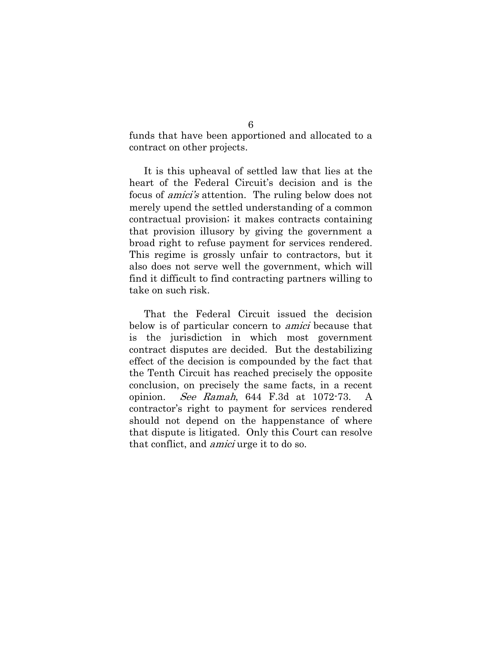funds that have been apportioned and allocated to a contract on other projects.

It is this upheaval of settled law that lies at the heart of the Federal Circuit's decision and is the focus of *amici's* attention. The ruling below does not merely upend the settled understanding of a common contractual provision; it makes contracts containing that provision illusory by giving the government a broad right to refuse payment for services rendered. This regime is grossly unfair to contractors, but it also does not serve well the government, which will find it difficult to find contracting partners willing to take on such risk.

That the Federal Circuit issued the decision below is of particular concern to *amici* because that is the jurisdiction in which most government contract disputes are decided. But the destabilizing effect of the decision is compounded by the fact that the Tenth Circuit has reached precisely the opposite conclusion, on precisely the same facts, in a recent opinion. See Ramah, 644 F.3d at 1072-73. A contractor's right to payment for services rendered should not depend on the happenstance of where that dispute is litigated. Only this Court can resolve that conflict, and amici urge it to do so.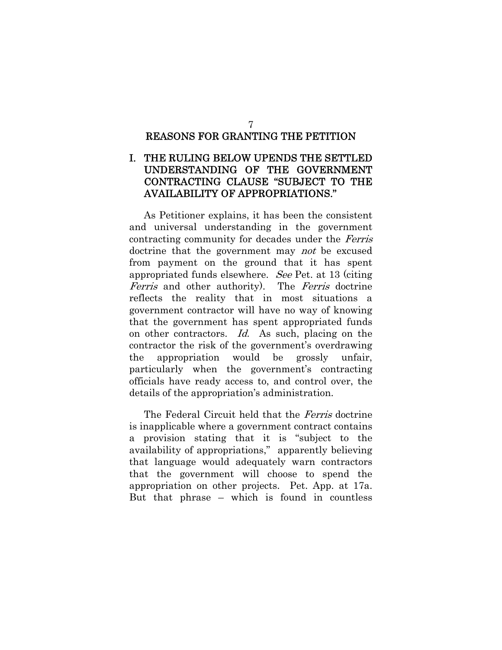### REASONS FOR GRANTING THE PETITION

### I. THE RULING BELOW UPENDS THE SETTLED UNDERSTANDING OF THE GOVERNMENT CONTRACTING CLAUSE "SUBJECT TO THE AVAILABILITY OF APPROPRIATIONS."

As Petitioner explains, it has been the consistent and universal understanding in the government contracting community for decades under the Ferris doctrine that the government may *not* be excused from payment on the ground that it has spent appropriated funds elsewhere. See Pet. at 13 (citing Ferris and other authority). The Ferris doctrine reflects the reality that in most situations a government contractor will have no way of knowing that the government has spent appropriated funds on other contractors. Id. As such, placing on the contractor the risk of the government's overdrawing the appropriation would be grossly unfair, particularly when the government's contracting officials have ready access to, and control over, the details of the appropriation's administration.

The Federal Circuit held that the *Ferris* doctrine is inapplicable where a government contract contains a provision stating that it is "subject to the availability of appropriations," apparently believing that language would adequately warn contractors that the government will choose to spend the appropriation on other projects. Pet. App. at 17a. But that phrase – which is found in countless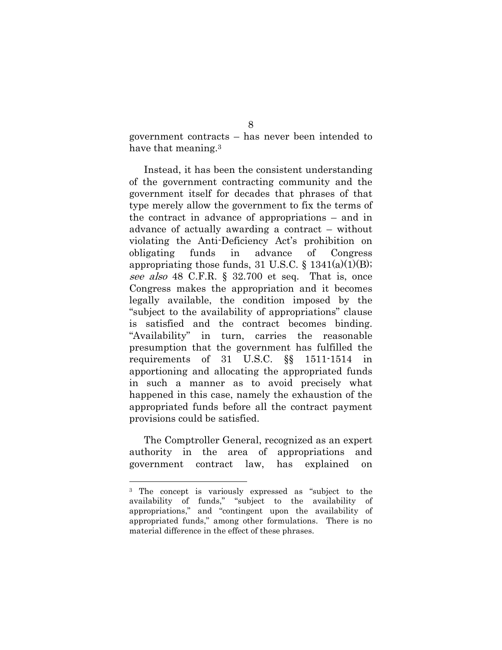government contracts – has never been intended to have that meaning.<sup>3</sup>

Instead, it has been the consistent understanding of the government contracting community and the government itself for decades that phrases of that type merely allow the government to fix the terms of the contract in advance of appropriations – and in advance of actually awarding a contract – without violating the Anti-Deficiency Act's prohibition on obligating funds in advance of Congress appropriating those funds, 31 U.S.C.  $\S$  1341(a)(1)(B); see also 48 C.F.R. § 32.700 et seq. That is, once Congress makes the appropriation and it becomes legally available, the condition imposed by the "subject to the availability of appropriations" clause is satisfied and the contract becomes binding. "Availability" in turn, carries the reasonable presumption that the government has fulfilled the requirements of 31 U.S.C. §§ 1511-1514 in apportioning and allocating the appropriated funds in such a manner as to avoid precisely what happened in this case, namely the exhaustion of the appropriated funds before all the contract payment provisions could be satisfied.

The Comptroller General, recognized as an expert authority in the area of appropriations and government contract law, has explained on

<sup>3</sup> The concept is variously expressed as "subject to the availability of funds," "subject to the availability of appropriations," and "contingent upon the availability of appropriated funds," among other formulations. There is no material difference in the effect of these phrases.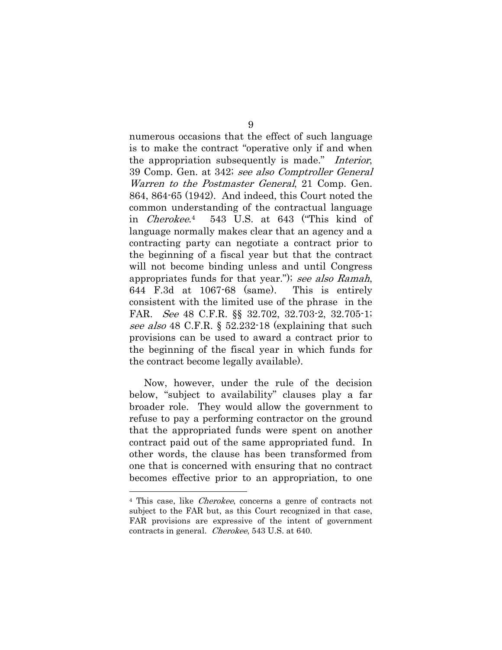numerous occasions that the effect of such language is to make the contract "operative only if and when the appropriation subsequently is made." Interior, 39 Comp. Gen. at 342; see also Comptroller General Warren to the Postmaster General, 21 Comp. Gen. 864, 864-65 (1942). And indeed, this Court noted the common understanding of the contractual language in Cherokee.4 543 U.S. at 643 ("This kind of language normally makes clear that an agency and a contracting party can negotiate a contract prior to the beginning of a fiscal year but that the contract will not become binding unless and until Congress appropriates funds for that year."); see also Ramah, 644 F.3d at 1067-68 (same). This is entirely consistent with the limited use of the phrase in the FAR. See 48 C.F.R. §§ 32.702, 32.703-2, 32.705-1; see also 48 C.F.R. § 52.232-18 (explaining that such provisions can be used to award a contract prior to the beginning of the fiscal year in which funds for the contract become legally available).

Now, however, under the rule of the decision below, "subject to availability" clauses play a far broader role. They would allow the government to refuse to pay a performing contractor on the ground that the appropriated funds were spent on another contract paid out of the same appropriated fund. In other words, the clause has been transformed from one that is concerned with ensuring that no contract becomes effective prior to an appropriation, to one

l

<sup>4</sup> This case, like Cherokee, concerns a genre of contracts not subject to the FAR but, as this Court recognized in that case, FAR provisions are expressive of the intent of government contracts in general. Cherokee, 543 U.S. at 640.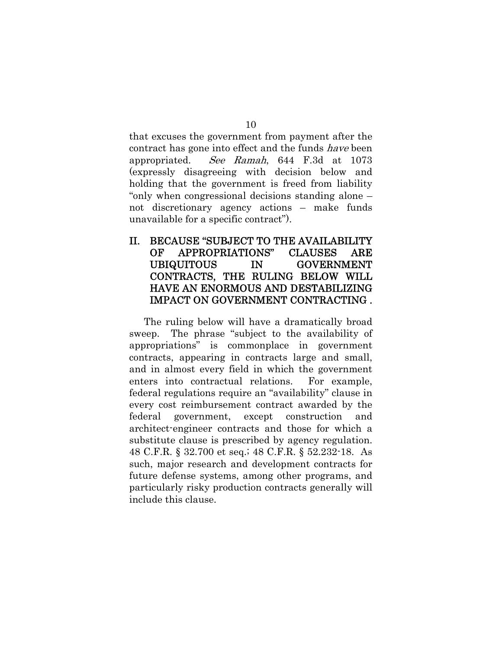that excuses the government from payment after the contract has gone into effect and the funds have been appropriated. See Ramah, 644 F.3d at 1073 (expressly disagreeing with decision below and holding that the government is freed from liability "only when congressional decisions standing alone – not discretionary agency actions – make funds unavailable for a specific contract").

### II. BECAUSE "SUBJECT TO THE AVAILABILITY OF APPROPRIATIONS" CLAUSES ARE UBIQUITOUS IN GOVERNMENT CONTRACTS, THE RULING BELOW WILL HAVE AN ENORMOUS AND DESTABILIZING IMPACT ON GOVERNMENT CONTRACTING .

The ruling below will have a dramatically broad sweep. The phrase "subject to the availability of appropriations" is commonplace in government contracts, appearing in contracts large and small, and in almost every field in which the government enters into contractual relations. For example, federal regulations require an "availability" clause in every cost reimbursement contract awarded by the federal government, except construction and architect-engineer contracts and those for which a substitute clause is prescribed by agency regulation. 48 C.F.R. § 32.700 et seq.; 48 C.F.R. § 52.232-18. As such, major research and development contracts for future defense systems, among other programs, and particularly risky production contracts generally will include this clause.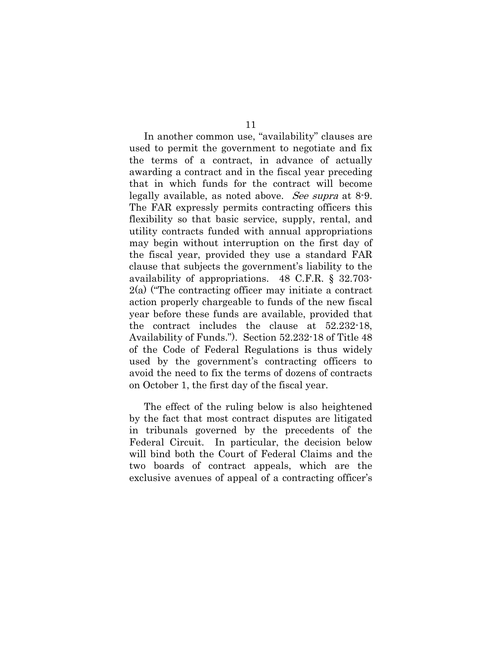In another common use, "availability" clauses are used to permit the government to negotiate and fix the terms of a contract, in advance of actually awarding a contract and in the fiscal year preceding that in which funds for the contract will become legally available, as noted above. See supra at 8-9. The FAR expressly permits contracting officers this flexibility so that basic service, supply, rental, and utility contracts funded with annual appropriations may begin without interruption on the first day of the fiscal year, provided they use a standard FAR clause that subjects the government's liability to the availability of appropriations. 48 C.F.R. § 32.703- 2(a) ("The contracting officer may initiate a contract action properly chargeable to funds of the new fiscal year before these funds are available, provided that the contract includes the clause at 52.232-18, Availability of Funds."). Section 52.232-18 of Title 48 of the Code of Federal Regulations is thus widely used by the government's contracting officers to avoid the need to fix the terms of dozens of contracts on October 1, the first day of the fiscal year.

The effect of the ruling below is also heightened by the fact that most contract disputes are litigated in tribunals governed by the precedents of the Federal Circuit. In particular, the decision below will bind both the Court of Federal Claims and the two boards of contract appeals, which are the exclusive avenues of appeal of a contracting officer's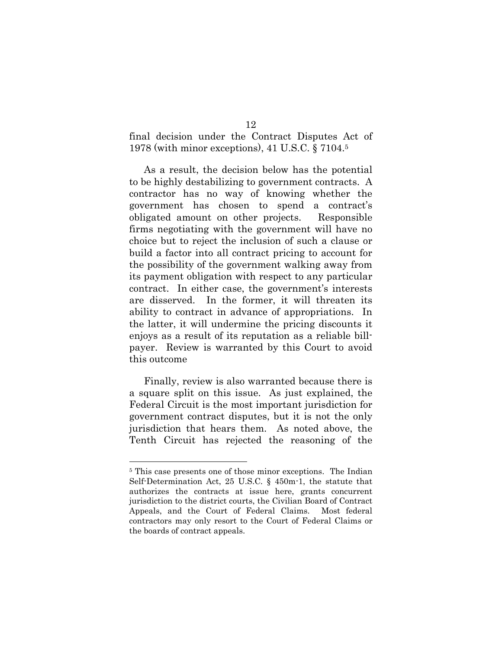final decision under the Contract Disputes Act of 1978 (with minor exceptions), 41 U.S.C. § 7104.5

As a result, the decision below has the potential to be highly destabilizing to government contracts. A contractor has no way of knowing whether the government has chosen to spend a contract's obligated amount on other projects. Responsible firms negotiating with the government will have no choice but to reject the inclusion of such a clause or build a factor into all contract pricing to account for the possibility of the government walking away from its payment obligation with respect to any particular contract. In either case, the government's interests are disserved. In the former, it will threaten its ability to contract in advance of appropriations. In the latter, it will undermine the pricing discounts it enjoys as a result of its reputation as a reliable billpayer. Review is warranted by this Court to avoid this outcome

Finally, review is also warranted because there is a square split on this issue. As just explained, the Federal Circuit is the most important jurisdiction for government contract disputes, but it is not the only jurisdiction that hears them. As noted above, the Tenth Circuit has rejected the reasoning of the

<sup>5</sup> This case presents one of those minor exceptions. The Indian Self-Determination Act, 25 U.S.C. § 450m-1, the statute that authorizes the contracts at issue here, grants concurrent jurisdiction to the district courts, the Civilian Board of Contract Appeals, and the Court of Federal Claims. Most federal contractors may only resort to the Court of Federal Claims or the boards of contract appeals.